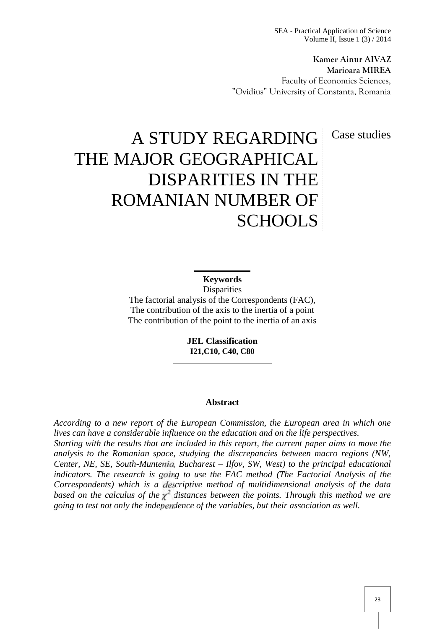SEA - Practical Application of Science Volume II, Issue 1 (3) / 2014

**Kamer Ainur AIVAZ Marioara MIREA** Faculty of Economics Sciences, "Ovidius" University of Constanta, Romania

Case studies

# A STUDY REGARDING THE MAJOR GEOGRAPHICAL DISPARITIES IN THE ROMANIAN NUMBER OF SCHOOLS

**Keywords Disparities** The factorial analysis of the Correspondents (FAC), The contribution of the axis to the inertia of a point The contribution of the point to the inertia of an axis

> **JEL Classification I21,C10, C40, C80**

#### **Abstract**

*According to a new report of the European Commission, the European area in which one lives can have a considerable influence on the education and on the life perspectives. Starting with the results that are included in this report, the current paper aims to move the analysis to the Romanian space, studying the discrepancies between macro regions (NW, Center, NE, SE, South-Muntenia, Bucharest – Ilfov, SW, West) to the principal educational indicators. The research is going to use the FAC method (The Factorial Analysis of the Correspondents) which is a descriptive method of multidimensional analysis of the data based on the calculus of the <sup>2</sup> distances between the points. Through this method we are going to test not only the independence of the variables, but their association as well.*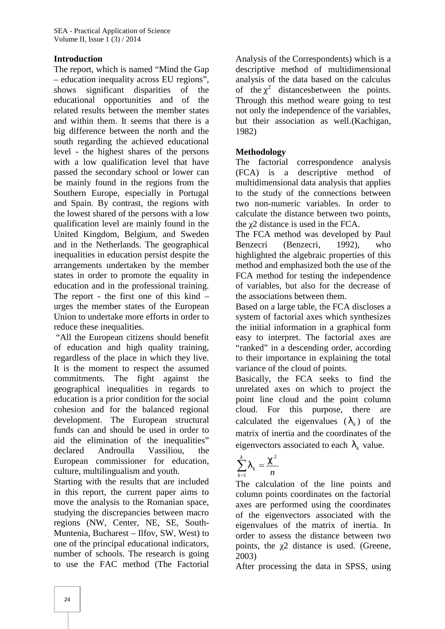# **Introduction**

The report, which is named "Mind the Gap – education inequality across EU regions", shows significant disparities of the educational opportunities and of the related results between the member states and within them. It seems that there is a big difference between the north and the south regarding the achieved educational level - the highest shares of the persons with a low qualification level that have The factorial passed the secondary school or lower can (FCA) is a be mainly found in the regions from the Southern Europe, especially in Portugal and Spain. By contrast, the regions with the lowest shared of the persons with a low qualification level are mainly found in the United Kingdom, Belgium, and Sweden and in the Netherlands. The geographical inequalities in education persist despite the arrangements undertaken by the member states in order to promote the equality in education and in the professional training. The report - the first one of this kind – urges the member states of the European Union to undertake more efforts in order to reduce these inequalities.

"All the European citizens should benefit of education and high quality training, regardless of the place in which they live. It is the moment to respect the assumed commitments. The fight against the geographical inequalities in regards to education is a prior condition for the social cohesion and for the balanced regional development. The European structural funds can and should be used in order to aid the elimination of the inequalities" declared Androulla Vassiliou, the European commissioner for education, culture, multilingualism and youth.

Starting with the results that are included in this report, the current paper aims to move the analysis to the Romanian space, studying the discrepancies between macro regions (NW, Center, NE, SE, South- Muntenia, Bucharest – Ilfov, SW, West) to one of the principal educational indicators, number of schools. The research is going to use the FAC method (The Factorial

Analysis of the Correspondents) which is a descriptive method of multidimensional analysis of the data based on the calculus of the  $\chi^2$  distances between the points. Through this method weare going to test not only the independence of the variables, but their association as well.(Kachigan, 1982)

# **Methodology**

correspondence analysis descriptive method of multidimensional data analysis that applies to the study of the connections between two non-numeric variables. In order to calculate the distance between two points, the 2 distance is used in the FCA.

The FCA method was developed by Paul Benzecri (Benzecri, 1992), who highlighted the algebraic properties of this method and emphasized both the use of the FCA method for testing the independence of variables, but also for the decrease of the associations between them.

Based on a large table, the FCA discloses a system of factorial axes which synthesizes the initial information in a graphical form easy to interpret. The factorial axes are "ranked" in a descending order, according to their importance in explaining the total variance of the cloud of points.

Basically, the FCA seeks to find the unrelated axes on which to project the point line cloud and the point column cloud. For this purpose, there are calculated the eigenvalues  $(\, \}_k)$  of the matrix of inertia and the coordinates of the eigenvectors associated to each  $\lambda_k$  value.

$$
\sum_{k=1}^k \big\}_k = \frac{t^2}{n}
$$

The calculation of the line points and column points coordinates on the factorial axes are performed using the coordinates of the eigenvectors associated with the eigenvalues of the matrix of inertia. In order to assess the distance between two points, the 2 distance is used. (Greene, 2003)

After processing the data in SPSS, using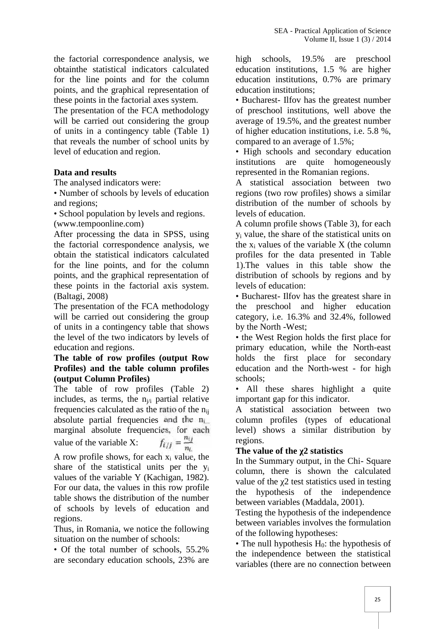the factorial correspondence analysis, we obtainthe statistical indicators calculated for the line points and for the column points, and the graphical representation of these points in the factorial axes system.

The presentation of the FCA methodology will be carried out considering the group of units in a contingency table (Table 1) that reveals the number of school units by level of education and region.

#### **Data and results**

The analysed indicators were:

• Number of schools by levels of education and regions;

• School population by levels and regions. (www.tempoonline.com)

After processing the data in SPSS, using the factorial correspondence analysis, we obtain the statistical indicators calculated for the line points, and for the column points, and the graphical representation of these points in the factorial axis system. (Baltagi, 2008)

The presentation of the FCA methodology the will be carried out considering the group of units in a contingency table that shows the level of the two indicators by levels of education and regions.

#### **The table of row profiles (output Row Profiles) and the table column profiles (output Column Profiles)**

The table of row profiles (Table 2) includes, as terms, the  $n_{i/i}$  partial relative frequencies calculated as the ratio of the nij absolute partial frequencies and the  $n_i$ marginal absolute frequencies, for each<br>value of the variable X:  $f_{i/j} = \frac{n_{ij}}{n_i}$ value of the variable  $X$ :

A row profile shows, for each  $x_i$  value, the share of the statistical units per the y<sup>i</sup> values of the variable Y (Kachigan, 1982). For our data, the values in this row profile

table shows the distribution of the number of schools by levels of education and regions.

Thus, in Romania, we notice the following situation on the number of schools:

• Of the total number of schools, 55.2% are secondary education schools, 23% are

high schools, 19.5% are preschool education institutions, 1.5 % are higher education institutions, 0.7% are primary education institutions;

• Bucharest- Ilfov has the greatest number of preschool institutions, well above the average of 19.5%, and the greatest number of higher education institutions, i.e. 5.8 %, compared to an average of 1.5%;

• High schools and secondary education institutions are quite homogeneously represented in the Romanian regions.

A statistical association between two regions (two row profiles) shows a similar distribution of the number of schools by levels of education.

A column profile shows (Table 3), for each y<sup>i</sup> value, the share of the statistical units on the  $x_i$  values of the variable  $X$  (the column profiles for the data presented in Table 1).The values in this table show the distribution of schools by regions and by levels of education:

• Bucharest- Ilfov has the greatest share in preschool and higher education category, i.e. 16.3% and 32.4%, followed by the North -West;

• the West Region holds the first place for primary education, while the North-east holds the first place for secondary education and the North-west - for high schools;

• All these shares highlight a quite important gap for this indicator.

A statistical association between two column profiles (types of educational level) shows a similar distribution by regions.

## **The** value of the 2 statistics

In the Summary output, in the Chi- Square column, there is shown the calculated value of the 2 test statistics used in testing the hypothesis of the independence between variables (Maddala, 2001).

Testing the hypothesis of the independence between variables involves the formulation of the following hypotheses:

• The null hypothesis  $H_0$ : the hypothesis of the independence between the statistical variables (there are no connection between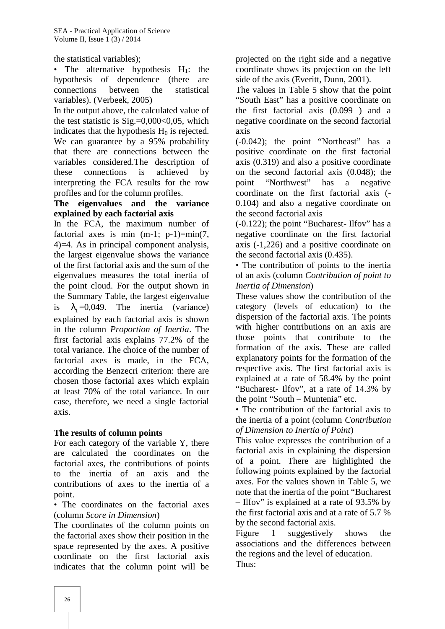the statistical variables);

• The alternative hypothesis  $H_1$ : the hypothesis of dependence (there are connections between the statistical variables). (Verbeek, 2005)

In the output above, the calculated value of the test statistic is  $Sig = 0.000 < 0.05$ , which indicates that the hypothesis  $H_0$  is rejected. We can guarantee by a 95% probability that there are connections between the variables considered.The description of these connections is achieved by interpreting the FCA results for the row profiles and for the column profiles.

## **The eigenvalues and the variance explained by each factorial axis**

In the FCA, the maximum number of factorial axes is min  $(m-1; p-1)=min(7,$ 4)=4. As in principal component analysis, the largest eigenvalue shows the variance of the first factorial axis and the sum of the eigenvalues measures the total inertia of the point cloud. For the output shown in the Summary Table, the largest eigenvalue is  $\}$ <sub>1</sub>=0,049. The inertia (variance) explained by each factorial axis is shown in the column *Proportion of Inertia*. The first factorial axis explains 77.2% of the total variance. The choice of the number of factorial axes is made, in the FCA, according the Benzecri criterion: there are chosen those factorial axes which explain at least 70% of the total variance. In our case, therefore, we need a single factorial axis.

# **The results of column points**

For each category of the variable Y, there are calculated the coordinates on the factorial axes, the contributions of points to the inertia of an axis and the contributions of axes to the inertia of a point.

• The coordinates on the factorial axes (column *Score in Dimension*)

The coordinates of the column points on by the s<br>the fectorial axes show their position in the Figure the factorial axes show their position in the space represented by the axes. A positive coordinate on the first factorial axis indicates that the column point will be

projected on the right side and a negative coordinate shows its projection on the left side of the axis (Everitt, Dunn, 2001).

The values in Table 5 show that the point "South East" has a positive coordinate on the first factorial axis (0.099 ) and a negative coordinate on the second factorial axis

(-0.042); the point "Northeast" has a positive coordinate on the first factorial axis (0.319) and also a positive coordinate on the second factorial axis (0.048); the "Northwest" has a negative coordinate on the first factorial axis (- 0.104) and also a negative coordinate on the second factorial axis

(-0.122); the point "Bucharest- Ilfov" has a negative coordinate on the first factorial axis (-1,226) and a positive coordinate on the second factorial axis (0.435).

• The contribution of points to the inertia of an axis (column *Contribution of point to Inertia of Dimension*)

These values show the contribution of the category (levels of education) to the dispersion of the factorial axis. The points with higher contributions on an axis are those points that contribute to the formation of the axis. These are called explanatory points for the formation of the respective axis. The first factorial axis is explained at a rate of 58.4% by the point "Bucharest- Ilfov", at a rate of 14.3% by the point "South – Muntenia" etc.

• The contribution of the factorial axis to the inertia of a point (column *Contribution of Dimension to Inertia of Point*)

This value expresses the contribution of a factorial axis in explaining the dispersion of a point. There are highlighted the following points explained by the factorial axes. For the values shown in Table 5, we note that the inertia of the point "Bucharest – Ilfov" is explained at a rate of 93.5% by the first factorial axis and at a rate of 5.7 % by the second factorial axis.

1 suggestively shows the associations and the differences between the regions and the level of education. Thus: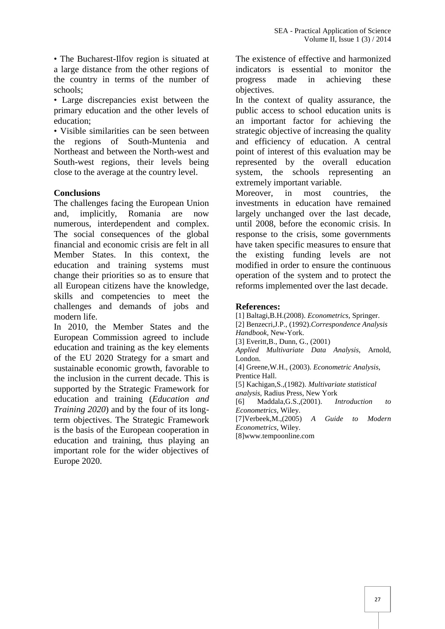• The Bucharest-Ilfov region is situated at a large distance from the other regions of the country in terms of the number of schools;

• Large discrepancies exist between the primary education and the other levels of education;

• Visible similarities can be seen between the regions of South-Muntenia and Northeast and between the North-west and South-west regions, their levels being close to the average at the country level.

#### **Conclusions**

The challenges facing the European Union and, implicitly, Romania are now numerous, interdependent and complex. The social consequences of the global financial and economic crisis are felt in all Member States. In this context, the education and training systems must change their priorities so as to ensure that all European citizens have the knowledge, skills and competencies to meet the challenges and demands of jobs and modern life.

In 2010, the Member States and the European Commission agreed to include education and training as the key elements of the EU 2020 Strategy for a smart and sustainable economic growth, favorable to the inclusion in the current decade. This is supported by the Strategic Framework for education and training (*Education and Training 2020*) and by the four of its longterm objectives. The Strategic Framework is the basis of the European cooperation in education and training, thus playing an important role for the wider objectives of Europe 2020.

The existence of effective and harmonized indicators is essential to monitor the progress made in achieving these objectives.

In the context of quality assurance, the public access to school education units is an important factor for achieving the strategic objective of increasing the quality and efficiency of education. A central point of interest of this evaluation may be represented by the overall education system, the schools representing an extremely important variable.

Moreover, in most countries, the investments in education have remained largely unchanged over the last decade, until 2008, before the economic crisis. In response to the crisis, some governments have taken specific measures to ensure that the existing funding levels are not modified in order to ensure the continuous operation of the system and to protect the reforms implemented over the last decade.

#### **References:**

[1] Baltagi,B.H.(2008). *Econometrics*, Springer. [2] Benzecri,J.P., (1992).*Correspondence Analysis Handbook*, New-York. [3] Everitt, B., Dunn, G., (2001) *Applied Multivariate Data Analysis*, Arnold, London. [4] Greene,W.H., (2003). *Econometric Analysis*, Prentice Hall. [5] Kachigan,S.,(1982). *Multivariate statistical analysis*, Radius Press, New York [6] Maddala,G.S.,(2001). *Introduction to Econometrics*, Wiley. [7]Verbeek,M.,(2005) *A Guide to Modern Econometrics*, Wiley. [8]www.tempoonline.com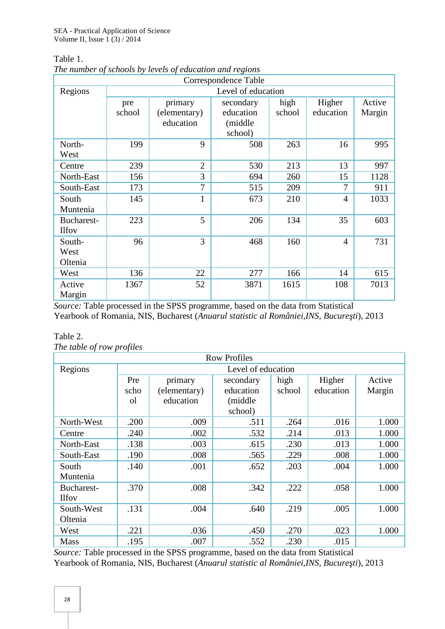Table 1.

|                            |                    |                         | Correspondence Table   |                |                     |                  |  |  |  |
|----------------------------|--------------------|-------------------------|------------------------|----------------|---------------------|------------------|--|--|--|
| Regions                    | Level of education |                         |                        |                |                     |                  |  |  |  |
|                            | pre<br>school      | primary<br>(elementary) | secondary<br>education | high<br>school | Higher<br>education | Active<br>Margin |  |  |  |
|                            |                    | education               | (middle<br>school)     |                |                     |                  |  |  |  |
| North-<br>West             | 199                | 9                       | 508                    | 263            | 16                  | 995              |  |  |  |
| Centre                     | 239                | $\overline{2}$          | 530                    | 213            | 13                  | 997              |  |  |  |
| North-East                 | 156                | 3                       | 694                    | 260            | 15                  | 1128             |  |  |  |
| South-East                 | 173                | 7                       | 515                    | 209            | 7                   | 911              |  |  |  |
| South<br>Muntenia          | 145                | $\mathbf{1}$            | 673                    | 210            | $\overline{4}$      | 1033             |  |  |  |
| Bucharest-<br><b>Ilfov</b> | 223                | 5                       | 206                    | 134            | 35                  | 603              |  |  |  |
| South-<br>West<br>Oltenia  | 96                 | 3                       | 468                    | 160            | $\overline{4}$      | 731              |  |  |  |
| West                       | 136                | 22                      | 277                    | 166            | 14                  | 615              |  |  |  |
| Active<br>Margin           | 1367               | 52                      | 3871                   | 1615           | 108                 | 7013             |  |  |  |

*The number of schools by levels of education and regions*

*Source:* Table processed in the SPSS programme, based on the data from Statistical Yearbook of Romania, NIS, Bucharest (*Anuarul statistic al României,INS*, *Bucure ti*), 2013

| Table 2.                  |  |
|---------------------------|--|
| The table of row profiles |  |

| <b>Row Profiles</b> |                    |              |           |        |           |        |  |  |  |
|---------------------|--------------------|--------------|-----------|--------|-----------|--------|--|--|--|
| Regions             | Level of education |              |           |        |           |        |  |  |  |
|                     | Pre                | primary      | secondary | high   | Higher    | Active |  |  |  |
|                     | scho               | (elementary) | education | school | education | Margin |  |  |  |
|                     | <sub>o</sub> l     | education    | (middle   |        |           |        |  |  |  |
|                     |                    |              | school)   |        |           |        |  |  |  |
| North-West          | .200               | .009         | .511      | .264   | .016      | 1.000  |  |  |  |
| Centre              | .240               | .002         | .532      | .214   | .013      | 1.000  |  |  |  |
| North-East          | .138               | .003         | .615      | .230   | .013      | 1.000  |  |  |  |
| South-East          | .190               | .008         | .565      | .229   | .008      | 1.000  |  |  |  |
| South               | .140               | .001         | .652      | .203   | .004      | 1.000  |  |  |  |
| Muntenia            |                    |              |           |        |           |        |  |  |  |
| Bucharest-          | .370               | .008         | .342      | .222   | .058      | 1.000  |  |  |  |
| <b>Ilfov</b>        |                    |              |           |        |           |        |  |  |  |
| South-West          | .131               | .004         | .640      | .219   | .005      | 1.000  |  |  |  |
| Oltenia             |                    |              |           |        |           |        |  |  |  |
| West                | .221               | .036         | .450      | .270   | .023      | 1.000  |  |  |  |
| <b>Mass</b>         | .195               | .007         | .552      | .230   | .015      |        |  |  |  |

*Source:* Table processed in the SPSS programme, based on the data from Statistical Yearbook of Romania, NIS, Bucharest (*Anuarul statistic al României,INS*, Bucure ti), 2013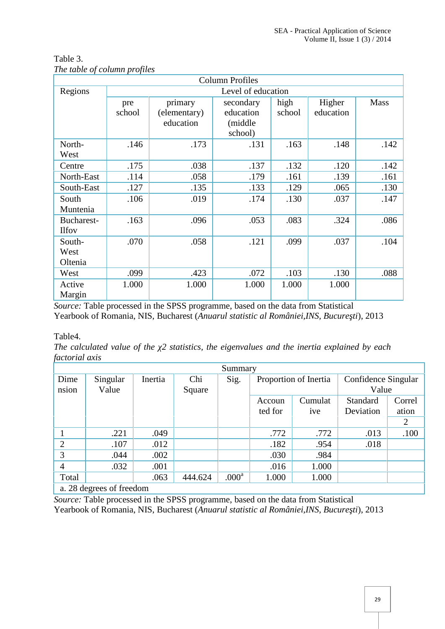|              |                    |              | <b>Column Profiles</b> |        |           |      |  |  |  |
|--------------|--------------------|--------------|------------------------|--------|-----------|------|--|--|--|
| Regions      | Level of education |              |                        |        |           |      |  |  |  |
|              | pre                | primary      | secondary              | high   | Higher    | Mass |  |  |  |
|              | school             | (elementary) | education              | school | education |      |  |  |  |
|              |                    | education    | (middle)               |        |           |      |  |  |  |
|              |                    |              | school)                |        |           |      |  |  |  |
| North-       | .146               | .173         | .131                   | .163   | .148      | .142 |  |  |  |
| West         |                    |              |                        |        |           |      |  |  |  |
| Centre       | .175               | .038         | .137                   | .132   | .120      | .142 |  |  |  |
| North-East   | .114               | .058         | .179                   | .161   | .139      | .161 |  |  |  |
| South-East   | .127               | .135         | .133                   | .129   | .065      | .130 |  |  |  |
| South        | .106               | .019         | .174                   | .130   | .037      | .147 |  |  |  |
| Muntenia     |                    |              |                        |        |           |      |  |  |  |
| Bucharest-   | .163               | .096         | .053                   | .083   | .324      | .086 |  |  |  |
| <b>Ilfov</b> |                    |              |                        |        |           |      |  |  |  |
| South-       | .070               | .058         | .121                   | .099   | .037      | .104 |  |  |  |
| West         |                    |              |                        |        |           |      |  |  |  |
| Oltenia      |                    |              |                        |        |           |      |  |  |  |
| West         | .099               | .423         | .072                   | .103   | .130      | .088 |  |  |  |
| Active       | 1.000              | 1.000        | 1.000                  | 1.000  | 1.000     |      |  |  |  |
| Margin       |                    |              |                        |        |           |      |  |  |  |

Table 3. *The table of column profiles*

*Source:* Table processed in the SPSS programme, based on the data from Statistical Yearbook of Romania, NIS, Bucharest (Anuarul statistic al României, INS, Bucure ti), 2013

## Table4.

*The calculated value of the 2 statistics, the eigenvalues and the inertia explained by each factorial axis*

| Summary                  |          |         |         |                   |                       |       |                     |        |  |  |
|--------------------------|----------|---------|---------|-------------------|-----------------------|-------|---------------------|--------|--|--|
| Dime                     | Singular | Inertia | Chi     | Sig.              | Proportion of Inertia |       | Confidence Singular |        |  |  |
| nsion                    | Value    |         | Square  |                   |                       |       | Value               |        |  |  |
|                          |          |         |         |                   | Cumulat<br>Accoun     |       | Standard            | Correl |  |  |
|                          |          |         |         |                   | ted for<br><i>ive</i> |       | Deviation           | ation  |  |  |
|                          |          |         |         |                   |                       |       |                     | 2      |  |  |
|                          | .221     | .049    |         |                   | .772                  | .772  | .013                | .100   |  |  |
| $\overline{2}$           | .107     | .012    |         |                   | .182                  | .954  | .018                |        |  |  |
| 3                        | .044     | .002    |         |                   | .030                  | .984  |                     |        |  |  |
| 4                        | .032     | .001    |         |                   | .016                  | 1.000 |                     |        |  |  |
| Total                    |          | .063    | 444.624 | .000 <sup>a</sup> | 1.000                 | 1.000 |                     |        |  |  |
| a. 28 degrees of freedom |          |         |         |                   |                       |       |                     |        |  |  |

*Source:* Table processed in the SPSS programme, based on the data from Statistical Yearbook of Romania, NIS, Bucharest (*Anuarul statistic al României,INS*, Bucure ti), 2013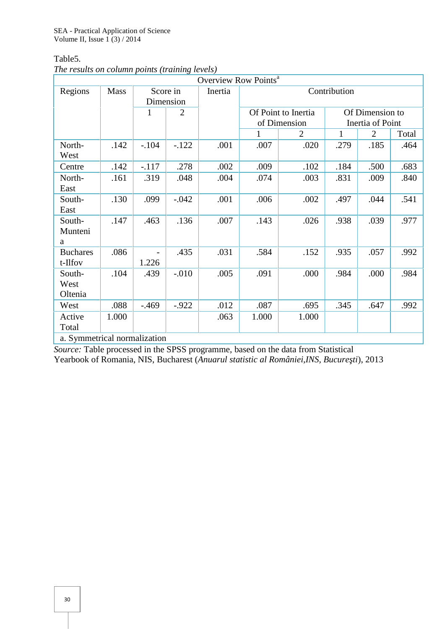Table5.

|  |  | The results on column points (training levels) |  |
|--|--|------------------------------------------------|--|
|  |  |                                                |  |

|                              |             |                                                         |          | Overview Row Points <sup>a</sup> |              |                     |                  |                |       |  |
|------------------------------|-------------|---------------------------------------------------------|----------|----------------------------------|--------------|---------------------|------------------|----------------|-------|--|
| Regions                      | <b>Mass</b> | Score in<br>Dimension<br>$\mathbf{1}$<br>$\overline{2}$ |          | Inertia                          | Contribution |                     |                  |                |       |  |
|                              |             |                                                         |          |                                  |              | Of Point to Inertia | Of Dimension to  |                |       |  |
|                              |             |                                                         |          |                                  |              | of Dimension        | Inertia of Point |                |       |  |
|                              |             |                                                         |          |                                  | $\mathbf{1}$ | 2                   | 1                | $\overline{2}$ | Total |  |
| North-<br>West               | .142        | $-.104$                                                 | $-122$   | .001                             | .007         | .020                | .279             | .185           | .464  |  |
| Centre                       | .142        | $-.117$                                                 | .278     | .002                             | .009         | .102                | .184             | .500           | .683  |  |
| North-<br>East               | .161        | .319                                                    | .048     | .004                             | .074         | .003                | .831             | .009           | .840  |  |
| South-<br>East               | .130        | .099                                                    | $-.042$  | .001                             | .006         | .002                | .497             | .044           | .541  |  |
| South-<br>Munteni<br>a       | .147        | .463                                                    | .136     | .007                             | .143         | .026                | .938             | .039           | .977  |  |
| <b>Buchares</b><br>t-Ilfov   | .086        | 1.226                                                   | .435     | .031                             | .584         | .152                | .935             | .057           | .992  |  |
| South-<br>West<br>Oltenia    | .104        | .439                                                    | $-0.010$ | .005                             | .091         | .000                | .984             | .000           | .984  |  |
| West                         | .088        | $-0.469$                                                | $-0.922$ | .012                             | .087         | .695                | .345             | .647           | .992  |  |
| Active<br>Total              | 1.000       |                                                         |          | .063                             | 1.000        | 1.000               |                  |                |       |  |
| a. Symmetrical normalization |             |                                                         |          |                                  |              |                     |                  |                |       |  |

*Source:* Table processed in the SPSS programme, based on the data from Statistical Yearbook of Romania, NIS, Bucharest (*Anuarul statistic al României,INS, Bucure ti*), 2013